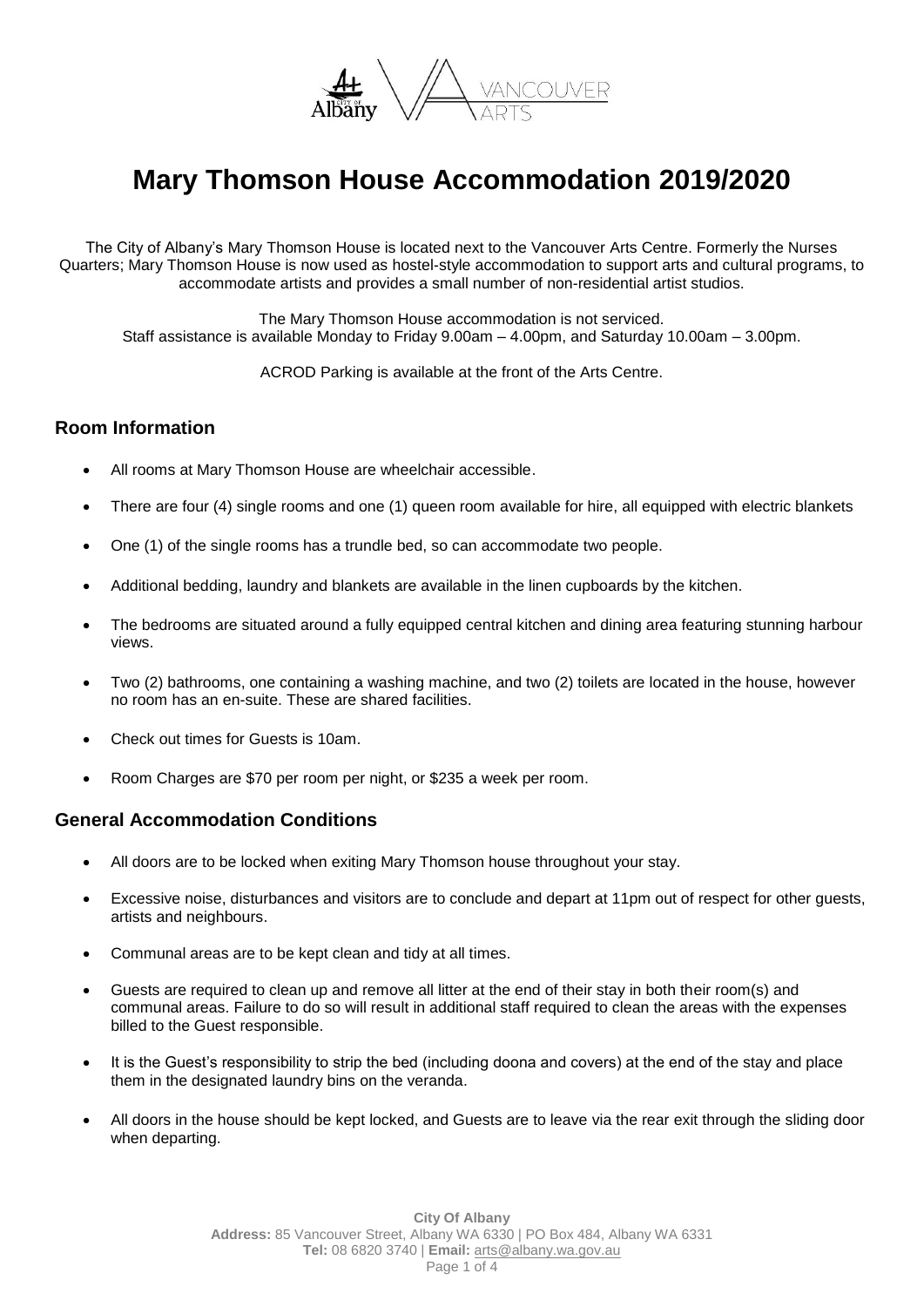

# **Mary Thomson House Accommodation 2019/2020**

The City of Albany's Mary Thomson House is located next to the Vancouver Arts Centre. Formerly the Nurses Quarters; Mary Thomson House is now used as hostel-style accommodation to support arts and cultural programs, to accommodate artists and provides a small number of non-residential artist studios.

The Mary Thomson House accommodation is not serviced. Staff assistance is available Monday to Friday 9.00am – 4.00pm, and Saturday 10.00am – 3.00pm.

ACROD Parking is available at the front of the Arts Centre.

## **Room Information**

- All rooms at Mary Thomson House are wheelchair accessible.
- There are four (4) single rooms and one (1) queen room available for hire, all equipped with electric blankets
- One (1) of the single rooms has a trundle bed, so can accommodate two people.
- Additional bedding, laundry and blankets are available in the linen cupboards by the kitchen.
- The bedrooms are situated around a fully equipped central kitchen and dining area featuring stunning harbour views.
- Two (2) bathrooms, one containing a washing machine, and two (2) toilets are located in the house, however no room has an en-suite. These are shared facilities.
- Check out times for Guests is 10am.
- Room Charges are \$70 per room per night, or \$235 a week per room.

### **General Accommodation Conditions**

- All doors are to be locked when exiting Mary Thomson house throughout your stay.
- Excessive noise, disturbances and visitors are to conclude and depart at 11pm out of respect for other guests, artists and neighbours.
- Communal areas are to be kept clean and tidy at all times.
- Guests are required to clean up and remove all litter at the end of their stay in both their room(s) and communal areas. Failure to do so will result in additional staff required to clean the areas with the expenses billed to the Guest responsible.
- It is the Guest's responsibility to strip the bed (including doona and covers) at the end of the stay and place them in the designated laundry bins on the veranda.
- All doors in the house should be kept locked, and Guests are to leave via the rear exit through the sliding door when departing.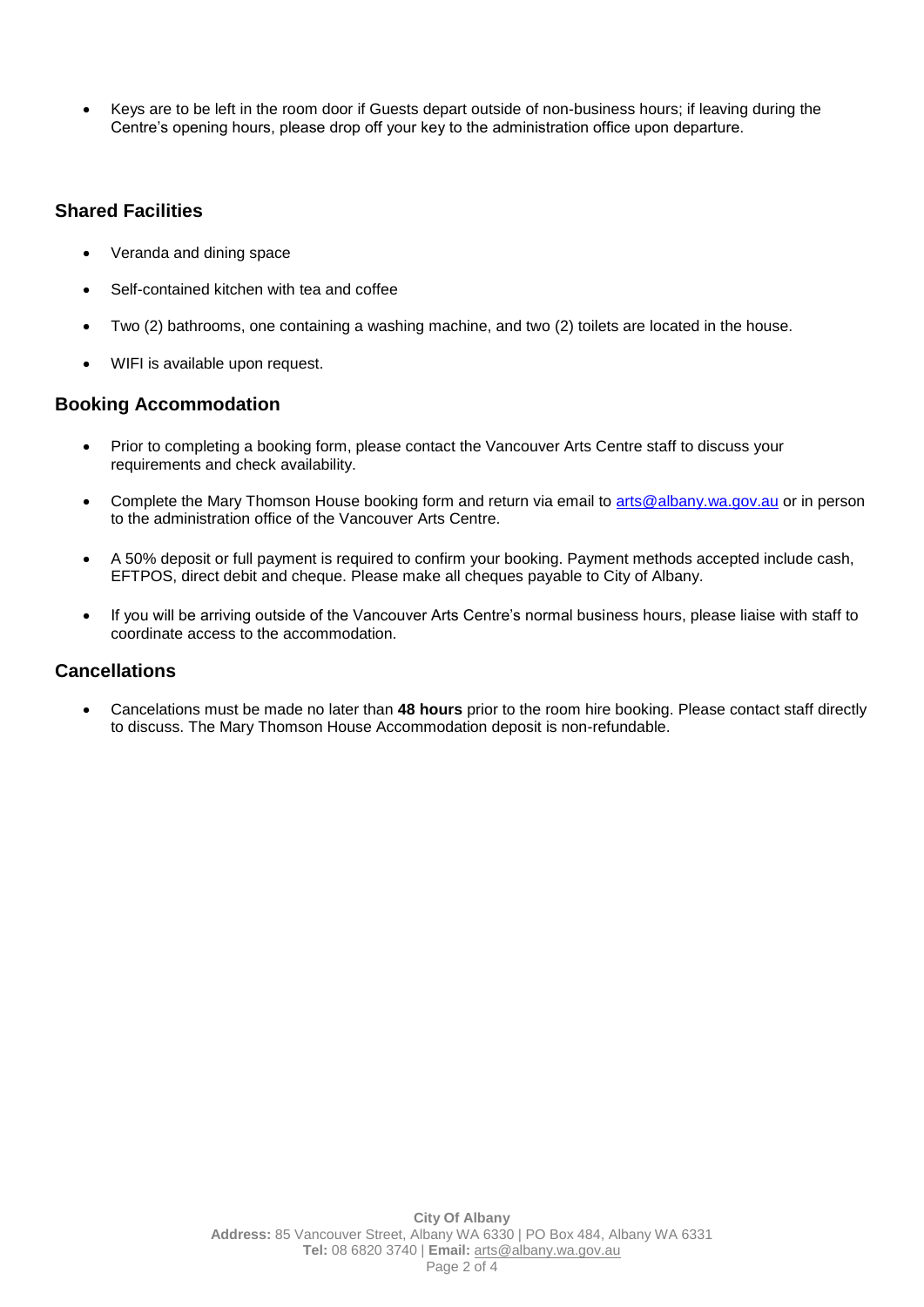Keys are to be left in the room door if Guests depart outside of non-business hours; if leaving during the Centre's opening hours, please drop off your key to the administration office upon departure.

## **Shared Facilities**

- Veranda and dining space
- Self-contained kitchen with tea and coffee
- Two (2) bathrooms, one containing a washing machine, and two (2) toilets are located in the house.
- WIFI is available upon request.

### **Booking Accommodation**

- Prior to completing a booking form, please contact the Vancouver Arts Centre staff to discuss your requirements and check availability.
- Complete the Mary Thomson House booking form and return via email to arts@albany.wa.gov.au or in person to the administration office of the Vancouver Arts Centre.
- A 50% deposit or full payment is required to confirm your booking. Payment methods accepted include cash, EFTPOS, direct debit and cheque. Please make all cheques payable to City of Albany.
- If you will be arriving outside of the Vancouver Arts Centre's normal business hours, please liaise with staff to coordinate access to the accommodation.

### **Cancellations**

 Cancelations must be made no later than **48 hours** prior to the room hire booking. Please contact staff directly to discuss. The Mary Thomson House Accommodation deposit is non-refundable.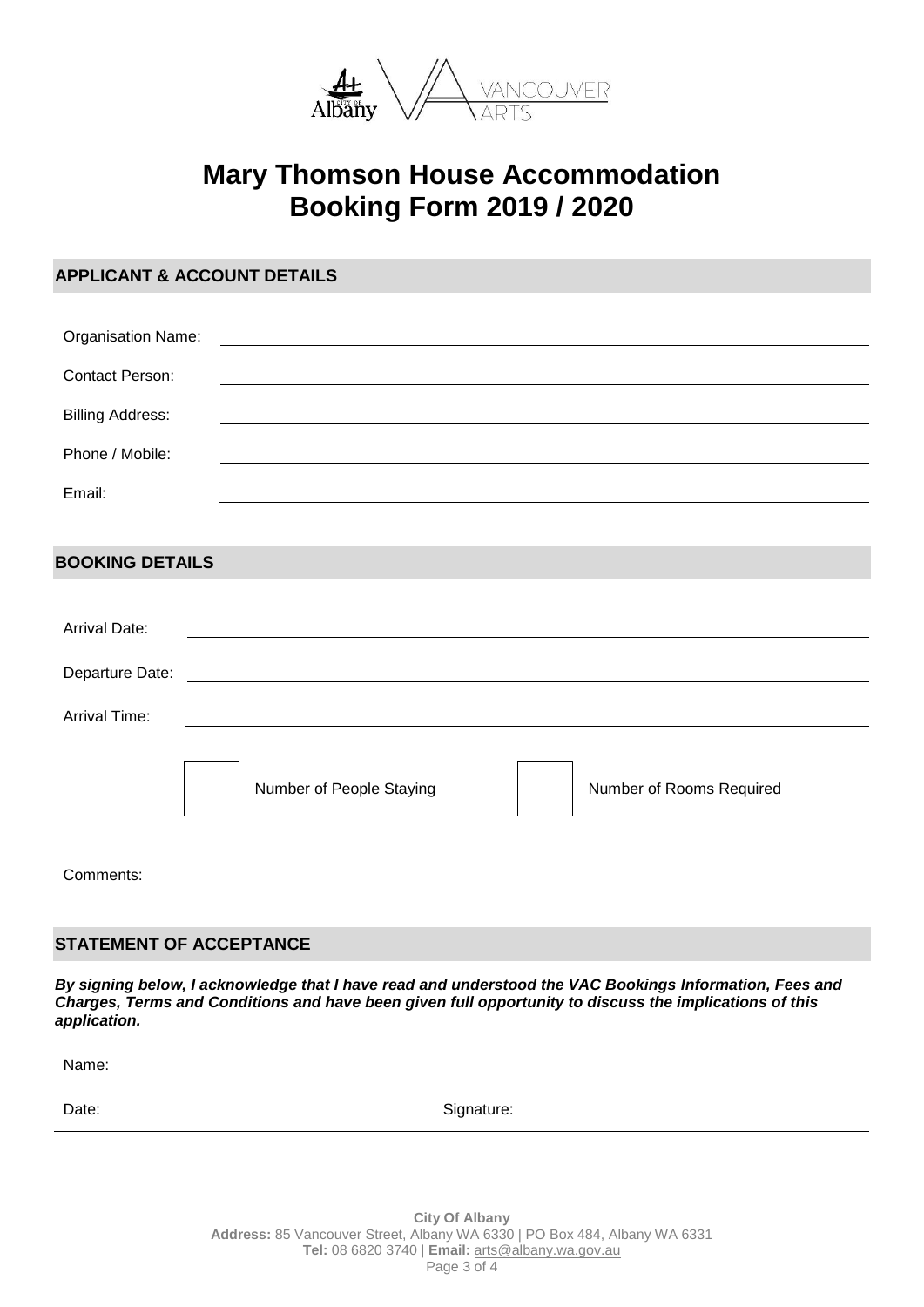

## **Mary Thomson House Accommodation Booking Form 2019 / 2020**

| <b>APPLICANT &amp; ACCOUNT DETAILS</b> |                                                                                                                       |                                                                                                                                                                                                                               |
|----------------------------------------|-----------------------------------------------------------------------------------------------------------------------|-------------------------------------------------------------------------------------------------------------------------------------------------------------------------------------------------------------------------------|
|                                        |                                                                                                                       |                                                                                                                                                                                                                               |
| Organisation Name:                     |                                                                                                                       | the control of the control of the control of the control of the control of the control of the control of the control of the control of the control of the control of the control of the control of the control of the control |
| <b>Contact Person:</b>                 |                                                                                                                       |                                                                                                                                                                                                                               |
| <b>Billing Address:</b>                |                                                                                                                       | <u> 1989 - Jan Samuel Barbara, margaret eta idazlea (h. 1989).</u>                                                                                                                                                            |
| Phone / Mobile:                        |                                                                                                                       |                                                                                                                                                                                                                               |
| Email:                                 |                                                                                                                       |                                                                                                                                                                                                                               |
|                                        |                                                                                                                       |                                                                                                                                                                                                                               |
| <b>BOOKING DETAILS</b>                 |                                                                                                                       |                                                                                                                                                                                                                               |
|                                        |                                                                                                                       |                                                                                                                                                                                                                               |
| <b>Arrival Date:</b>                   |                                                                                                                       |                                                                                                                                                                                                                               |
|                                        | Departure Date: <u>contract and a series of the series of the series of the series of the series of the series of</u> |                                                                                                                                                                                                                               |
| <b>Arrival Time:</b>                   | <u> 1980 - Johann Barn, mars ann an t-Amhain Aonaich an t-Aonaich an t-Aonaich an t-Aonaich an t-Aonaich an t-Aon</u> |                                                                                                                                                                                                                               |
|                                        |                                                                                                                       |                                                                                                                                                                                                                               |
|                                        | Number of People Staying                                                                                              | Number of Rooms Required                                                                                                                                                                                                      |
| Comments:                              |                                                                                                                       |                                                                                                                                                                                                                               |
|                                        |                                                                                                                       |                                                                                                                                                                                                                               |

## **STATEMENT OF ACCEPTANCE**

*By signing below, I acknowledge that I have read and understood the VAC Bookings Information, Fees and Charges, Terms and Conditions and have been given full opportunity to discuss the implications of this application.*

Name: Date: Signature: Signature: Signature: Signature: Signature: Signature: Signature: Signature: Signature: Signature: Signature: Signature: Signature: Signature: Signature: Signature: Signature: Signature: Signature: Signatu